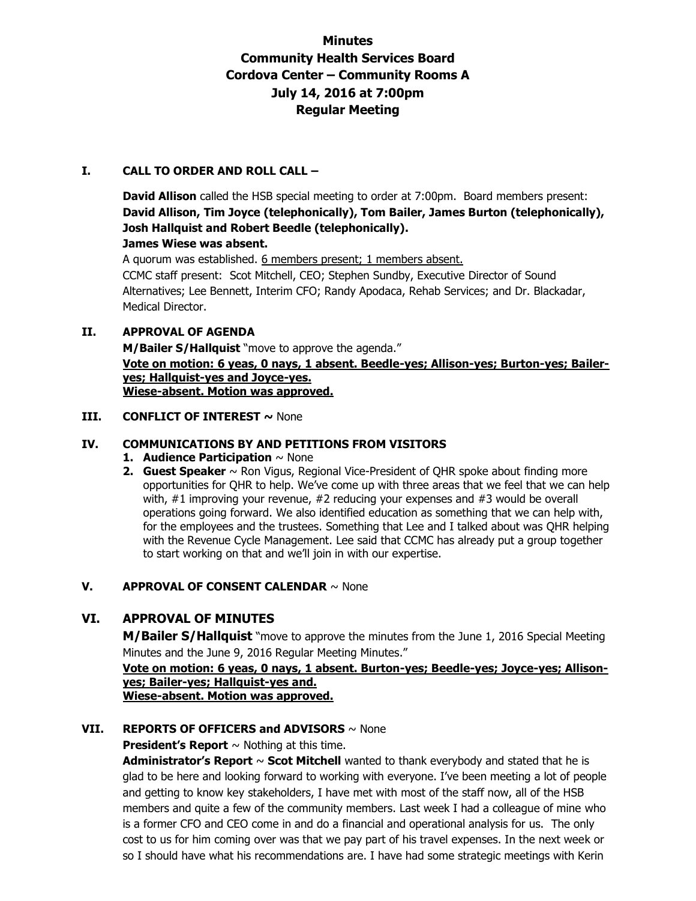# **Minutes Community Health Services Board Cordova Center – Community Rooms A July 14, 2016 at 7:00pm Regular Meeting**

## **I. CALL TO ORDER AND ROLL CALL –**

**David Allison** called the HSB special meeting to order at 7:00pm. Board members present: **David Allison, Tim Joyce (telephonically), Tom Bailer, James Burton (telephonically), Josh Hallquist and Robert Beedle (telephonically). James Wiese was absent.** 

A quorum was established. 6 members present; 1 members absent. CCMC staff present: Scot Mitchell, CEO; Stephen Sundby, Executive Director of Sound Alternatives; Lee Bennett, Interim CFO; Randy Apodaca, Rehab Services; and Dr. Blackadar, Medical Director.

## **II. APPROVAL OF AGENDA**

**M/Bailer S/Hallquist** "move to approve the agenda." **Vote on motion: 6 yeas, 0 nays, 1 absent. Beedle-yes; Allison-yes; Burton-yes; Baileryes; Hallquist-yes and Joyce-yes. Wiese-absent. Motion was approved.**

## **III. CONFLICT OF INTEREST ~ None**

## **IV. COMMUNICATIONS BY AND PETITIONS FROM VISITORS**

- **1. Audience Participation** ~ None
- **2. Guest Speaker** ~ Ron Vigus, Regional Vice-President of QHR spoke about finding more opportunities for QHR to help. We've come up with three areas that we feel that we can help with, #1 improving your revenue, #2 reducing your expenses and #3 would be overall operations going forward. We also identified education as something that we can help with, for the employees and the trustees. Something that Lee and I talked about was QHR helping with the Revenue Cycle Management. Lee said that CCMC has already put a group together to start working on that and we'll join in with our expertise.

## **V. APPROVAL OF CONSENT CALENDAR** ~ None

# **VI. APPROVAL OF MINUTES**

**M/Bailer S/Hallquist** "move to approve the minutes from the June 1, 2016 Special Meeting Minutes and the June 9, 2016 Regular Meeting Minutes."

### **Vote on motion: 6 yeas, 0 nays, 1 absent. Burton-yes; Beedle-yes; Joyce-yes; Allisonyes; Bailer-yes; Hallquist-yes and. Wiese-absent. Motion was approved.**

# **VII. REPORTS OF OFFICERS and ADVISORS** ~ None

**President's Report**  $\sim$  Nothing at this time.

**Administrator's Report** ~ **Scot Mitchell** wanted to thank everybody and stated that he is glad to be here and looking forward to working with everyone. I've been meeting a lot of people and getting to know key stakeholders, I have met with most of the staff now, all of the HSB members and quite a few of the community members. Last week I had a colleague of mine who is a former CFO and CEO come in and do a financial and operational analysis for us. The only cost to us for him coming over was that we pay part of his travel expenses. In the next week or so I should have what his recommendations are. I have had some strategic meetings with Kerin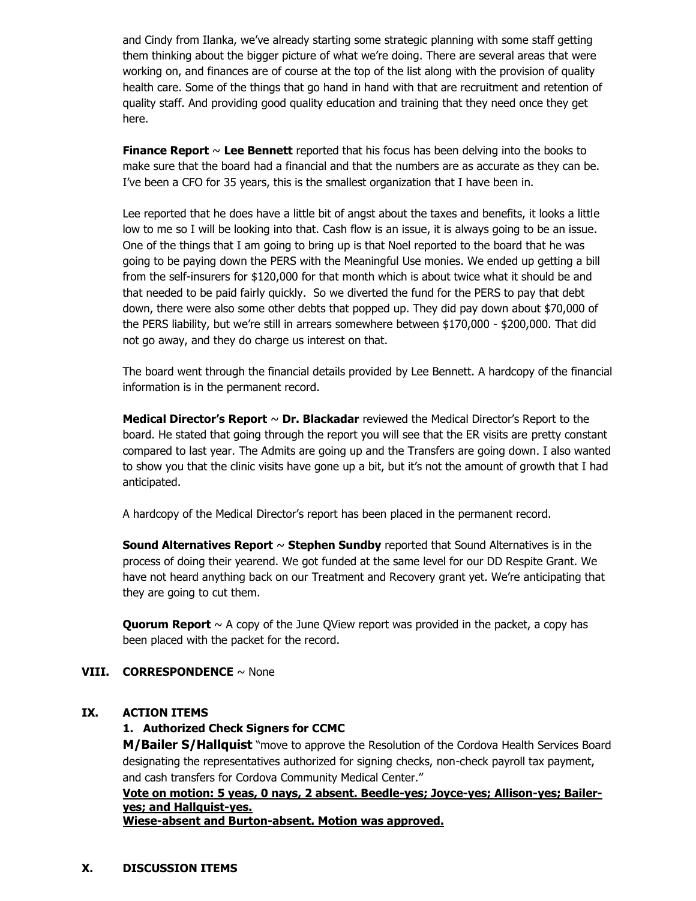and Cindy from Ilanka, we've already starting some strategic planning with some staff getting them thinking about the bigger picture of what we're doing. There are several areas that were working on, and finances are of course at the top of the list along with the provision of quality health care. Some of the things that go hand in hand with that are recruitment and retention of quality staff. And providing good quality education and training that they need once they get here.

**Finance Report** ~ **Lee Bennett** reported that his focus has been delving into the books to make sure that the board had a financial and that the numbers are as accurate as they can be. I've been a CFO for 35 years, this is the smallest organization that I have been in.

Lee reported that he does have a little bit of angst about the taxes and benefits, it looks a little low to me so I will be looking into that. Cash flow is an issue, it is always going to be an issue. One of the things that I am going to bring up is that Noel reported to the board that he was going to be paying down the PERS with the Meaningful Use monies. We ended up getting a bill from the self-insurers for \$120,000 for that month which is about twice what it should be and that needed to be paid fairly quickly. So we diverted the fund for the PERS to pay that debt down, there were also some other debts that popped up. They did pay down about \$70,000 of the PERS liability, but we're still in arrears somewhere between \$170,000 - \$200,000. That did not go away, and they do charge us interest on that.

The board went through the financial details provided by Lee Bennett. A hardcopy of the financial information is in the permanent record.

**Medical Director's Report** ~ **Dr. Blackadar** reviewed the Medical Director's Report to the board. He stated that going through the report you will see that the ER visits are pretty constant compared to last year. The Admits are going up and the Transfers are going down. I also wanted to show you that the clinic visits have gone up a bit, but it's not the amount of growth that I had anticipated.

A hardcopy of the Medical Director's report has been placed in the permanent record.

**Sound Alternatives Report** ~ **Stephen Sundby** reported that Sound Alternatives is in the process of doing their yearend. We got funded at the same level for our DD Respite Grant. We have not heard anything back on our Treatment and Recovery grant yet. We're anticipating that they are going to cut them.

**Quorum Report** ~ A copy of the June QView report was provided in the packet, a copy has been placed with the packet for the record.

## **VIII. CORRESPONDENCE** ~ None

#### **IX. ACTION ITEMS**

#### **1. Authorized Check Signers for CCMC**

**M/Bailer S/Hallquist** "move to approve the Resolution of the Cordova Health Services Board designating the representatives authorized for signing checks, non-check payroll tax payment, and cash transfers for Cordova Community Medical Center."

**Vote on motion: 5 yeas, 0 nays, 2 absent. Beedle-yes; Joyce-yes; Allison-yes; Baileryes; and Hallquist-yes.** 

**Wiese-absent and Burton-absent. Motion was approved.**

#### **X. DISCUSSION ITEMS**